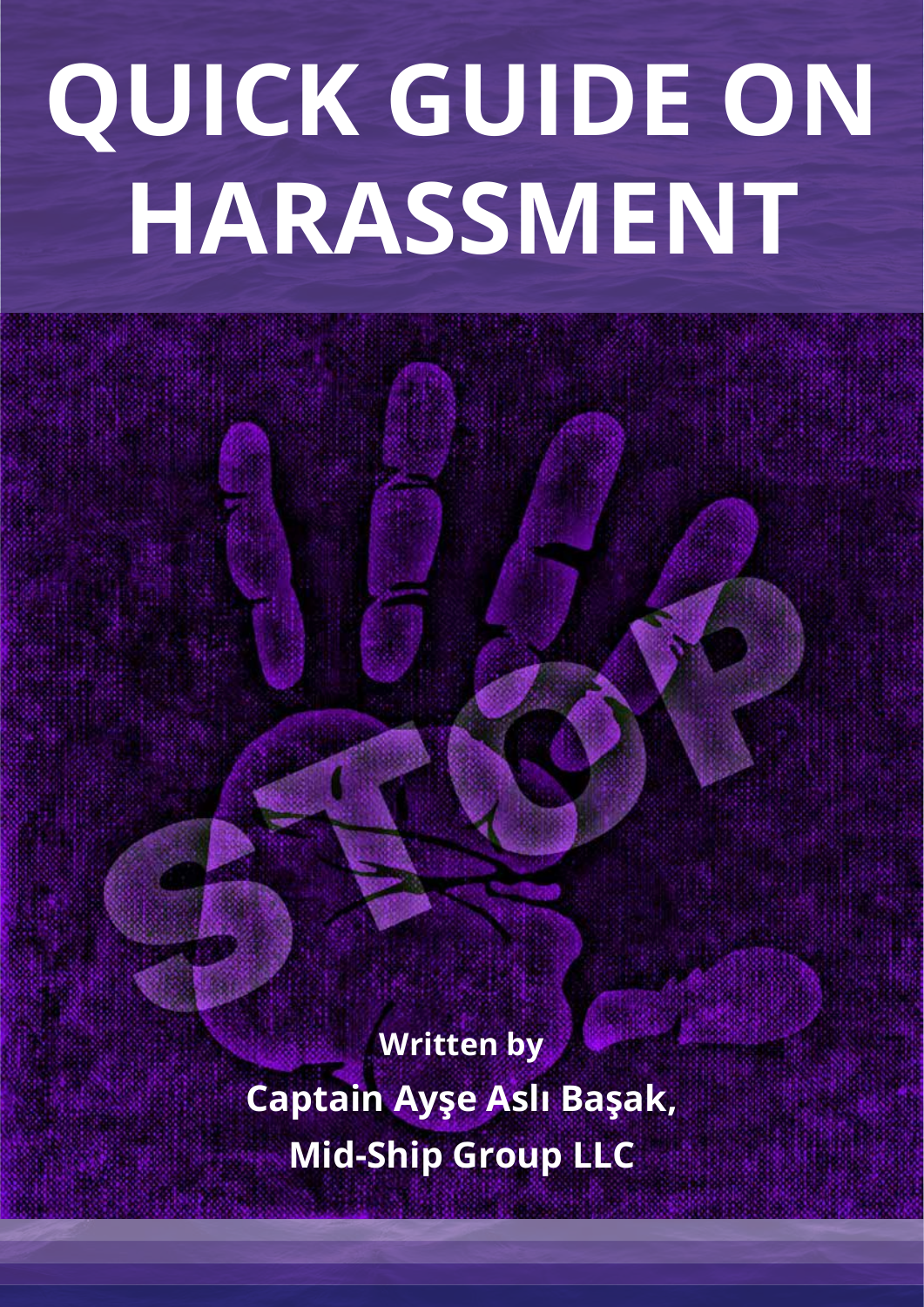# **QUICK GUIDE ON HARASSMENT**

**Written by Captain Ayşe Aslı Başak, Mid-Ship Group LLC**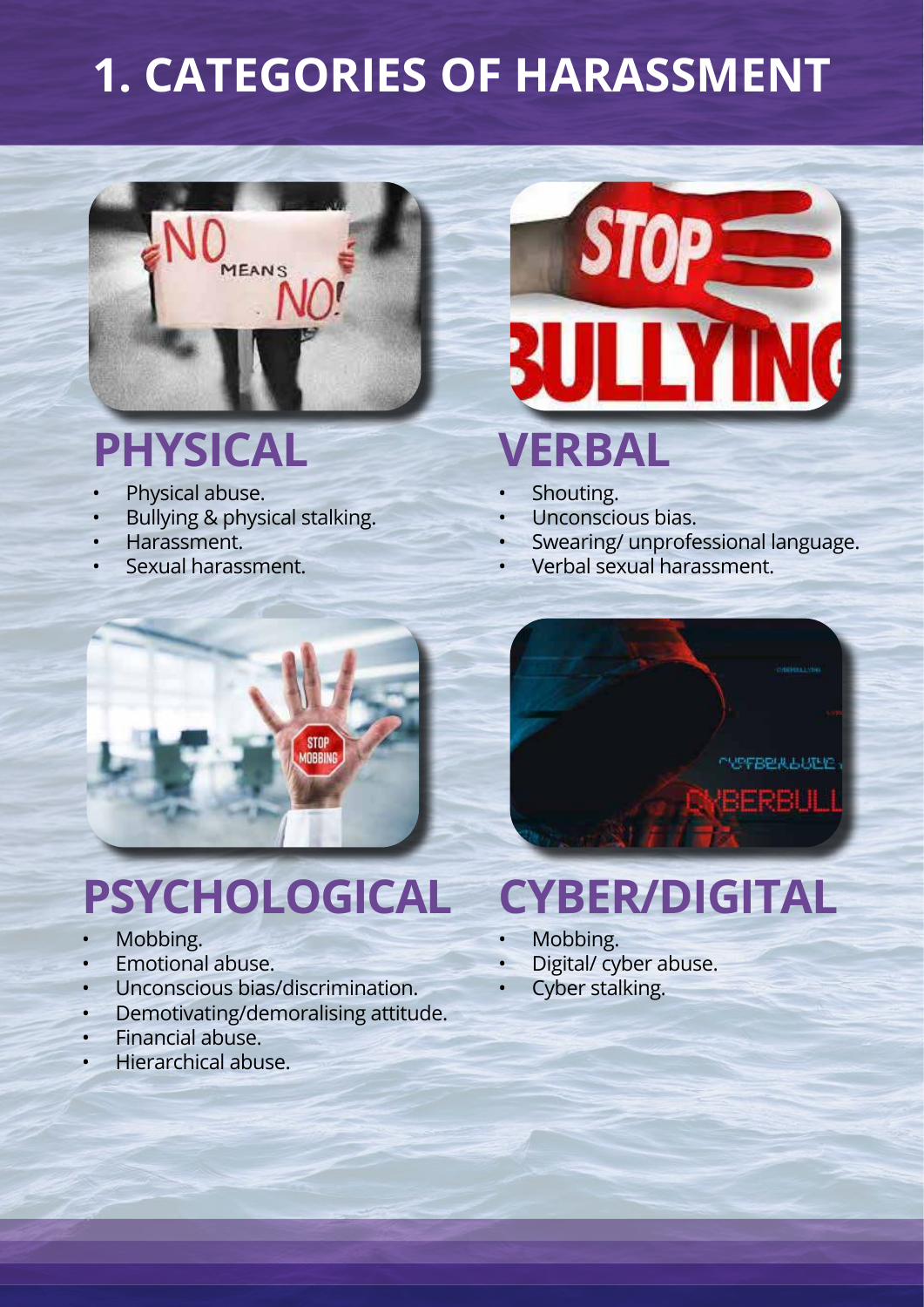# **1. CATEGORIES OF HARASSMENT**



# **PHYSICAL**

- Physical abuse.
- Bullying & physical stalking.
- Harassment.
- Sexual harassment.



- Shouting.
- Unconscious bias.
- Swearing/ unprofessional language.
- Verbal sexual harassment.



# **PSYCHOLOGICAL**

- Mobbing.
- Emotional abuse.
- Unconscious bias/discrimination.
- Demotivating/demoralising attitude.
- Financial abuse.
- Hierarchical abuse.



# **CYBER/DIGITAL**

- Mobbing.
- Digital/ cyber abuse.
- Cyber stalking.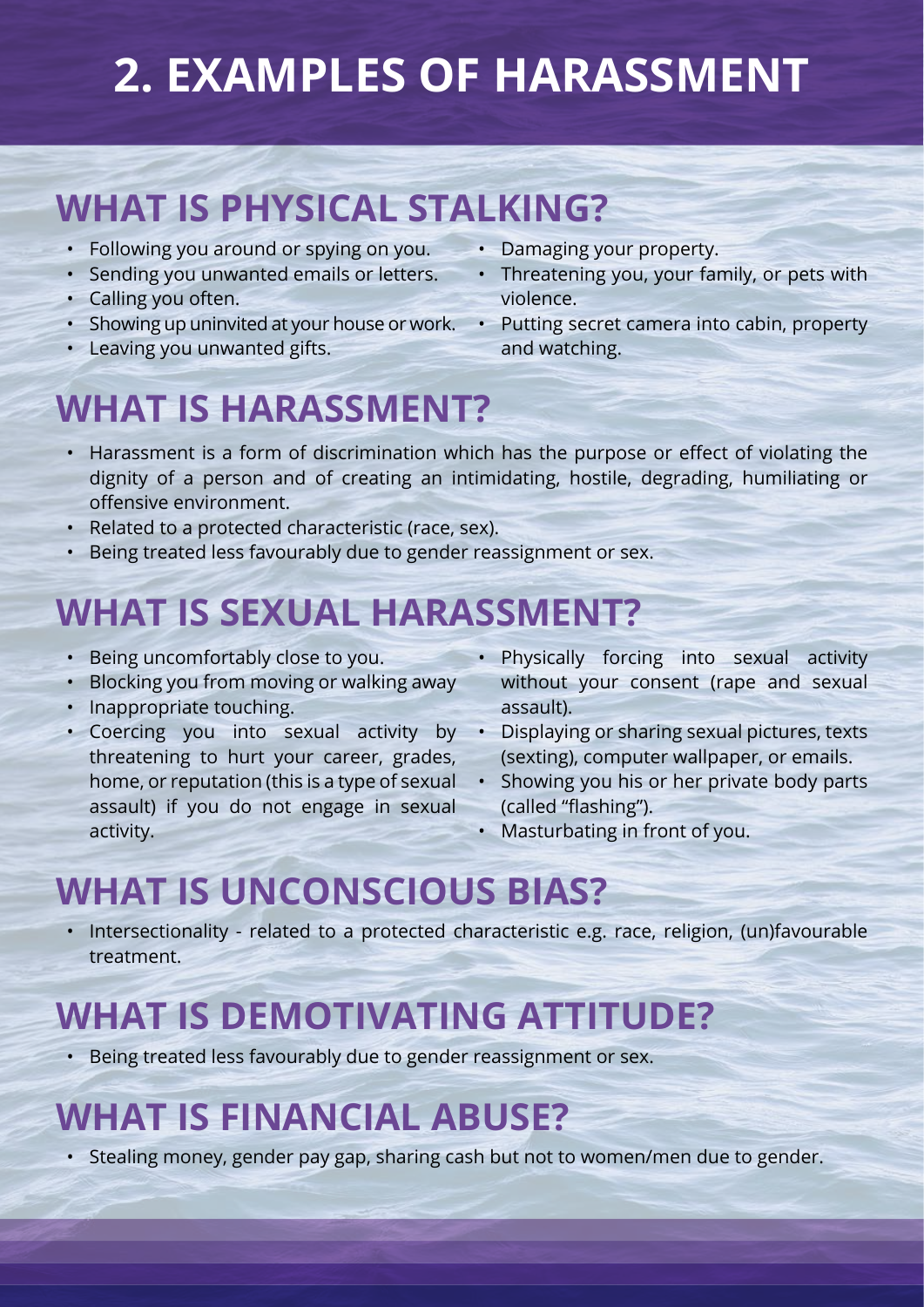# **2. EXAMPLES OF HARASSMENT**

#### **WHAT IS PHYSICAL STALKING?**

- Following you around or spying on you.
- Sending you unwanted emails or letters.
- Calling you often.
- Showing up uninvited at your house or work.
- Leaving you unwanted gifts.
- Damaging your property.
- Threatening you, your family, or pets with violence.
- Putting secret camera into cabin, property and watching.

## **WHAT IS HARASSMENT?**

- Harassment is a form of discrimination which has the purpose or effect of violating the dignity of a person and of creating an intimidating, hostile, degrading, humiliating or offensive environment.
- Related to a protected characteristic (race, sex).
- Being treated less favourably due to gender reassignment or sex.

## **WHAT IS SEXUAL HARASSMENT?**

- Being uncomfortably close to you.
- Blocking you from moving or walking away
- Inappropriate touching.
- Coercing you into sexual activity by threatening to hurt your career, grades, home, or reputation (this is a type of sexual assault) if you do not engage in sexual activity.
- Physically forcing into sexual activity without your consent (rape and sexual assault).
- Displaying or sharing sexual pictures, texts (sexting), computer wallpaper, or emails.
- Showing you his or her private body parts (called "flashing").
- Masturbating in front of you.

#### **WHAT IS UNCONSCIOUS BIAS?**

• Intersectionality - related to a protected characteristic e.g. race, religion, (un)favourable treatment.

#### **WHAT IS DEMOTIVATING ATTITUDE?**

• Being treated less favourably due to gender reassignment or sex.

## **WHAT IS FINANCIAL ABUSE?**

• Stealing money, gender pay gap, sharing cash but not to women/men due to gender.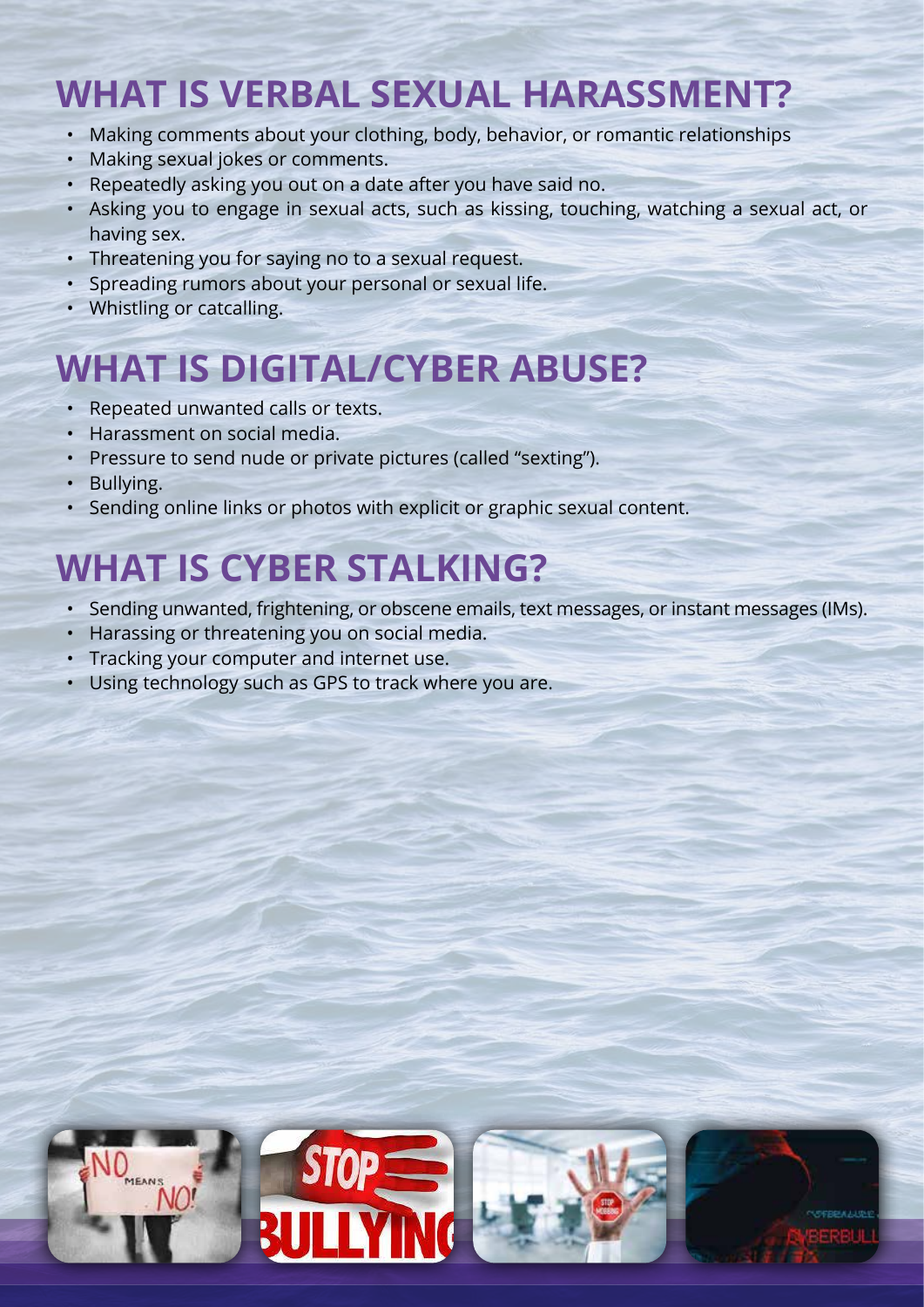#### **WHAT IS VERBAL SEXUAL HARASSMENT?**

- Making comments about your clothing, body, behavior, or romantic relationships
- Making sexual jokes or comments.
- Repeatedly asking you out on a date after you have said no.
- Asking you to engage in sexual acts, such as kissing, touching, watching a sexual act, or having sex.
- Threatening you for saying no to a sexual request.
- Spreading rumors about your personal or sexual life.
- Whistling or catcalling.

# **WHAT IS DIGITAL/CYBER ABUSE?**

- Repeated unwanted calls or texts.
- Harassment on social media.
- Pressure to send nude or private pictures (called "sexting").
- Bullying.
- Sending online links or photos with explicit or graphic sexual content.

# **WHAT IS CYBER STALKING?**

- Sending unwanted, frightening, or obscene emails, text messages, or instant messages (IMs).
- Harassing or threatening you on social media.
- Tracking your computer and internet use.
- Using technology such as GPS to track where you are.

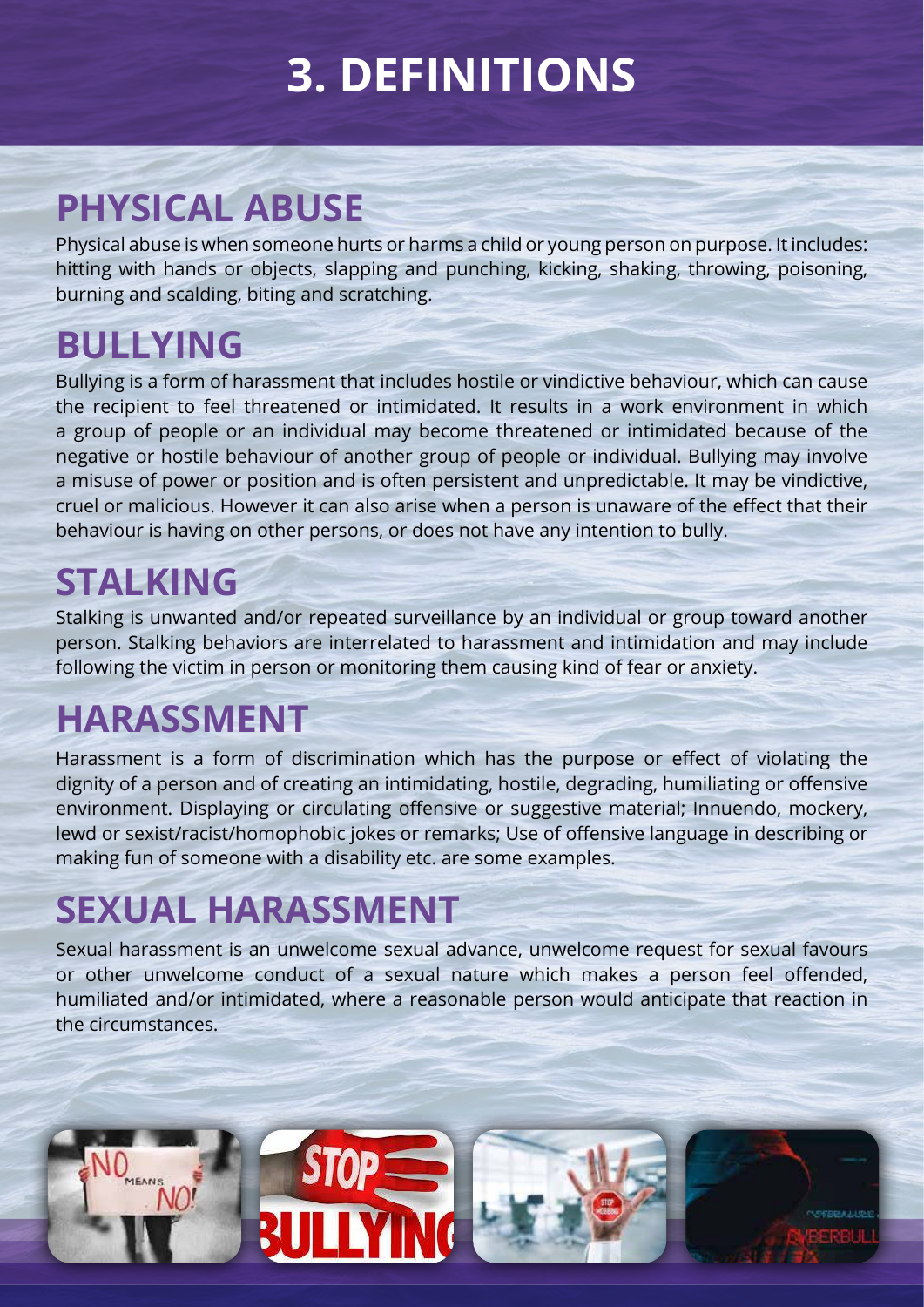# **3. DEFINITIONS**

## **PHYSICAL ABUSE**

Physical abuse is when someone hurts or harms a child or young person on purpose. It includes: hitting with hands or objects, slapping and punching, kicking, shaking, throwing, poisoning, burning and scalding, biting and scratching.

#### **BULLYING**

Bullying is a form of harassment that includes hostile or vindictive behaviour, which can cause the recipient to feel threatened or intimidated. It results in a work environment in which a group of people or an individual may become threatened or intimidated because of the negative or hostile behaviour of another group of people or individual. Bullying may involve a misuse of power or position and is often persistent and unpredictable. It may be vindictive, cruel or malicious. However it can also arise when a person is unaware of the effect that their behaviour is having on other persons, or does not have any intention to bully.

## **STALKING**

Stalking is unwanted and/or repeated surveillance by an individual or group toward another person. Stalking behaviors are interrelated to harassment and intimidation and may include following the victim in person or monitoring them causing kind of fear or anxiety.

# **HARASSMENT**

Harassment is a form of discrimination which has the purpose or effect of violating the dignity of a person and of creating an intimidating, hostile, degrading, humiliating or offensive environment. Displaying or circulating offensive or suggestive material; Innuendo, mockery, lewd or sexist/racist/homophobic jokes or remarks; Use of offensive language in describing or making fun of someone with a disability etc. are some examples.

## **SEXUAL HARASSMENT**

Sexual harassment is an unwelcome sexual advance, unwelcome request for sexual favours or other unwelcome conduct of a sexual nature which makes a person feel offended, humiliated and/or intimidated, where a reasonable person would anticipate that reaction in the circumstances.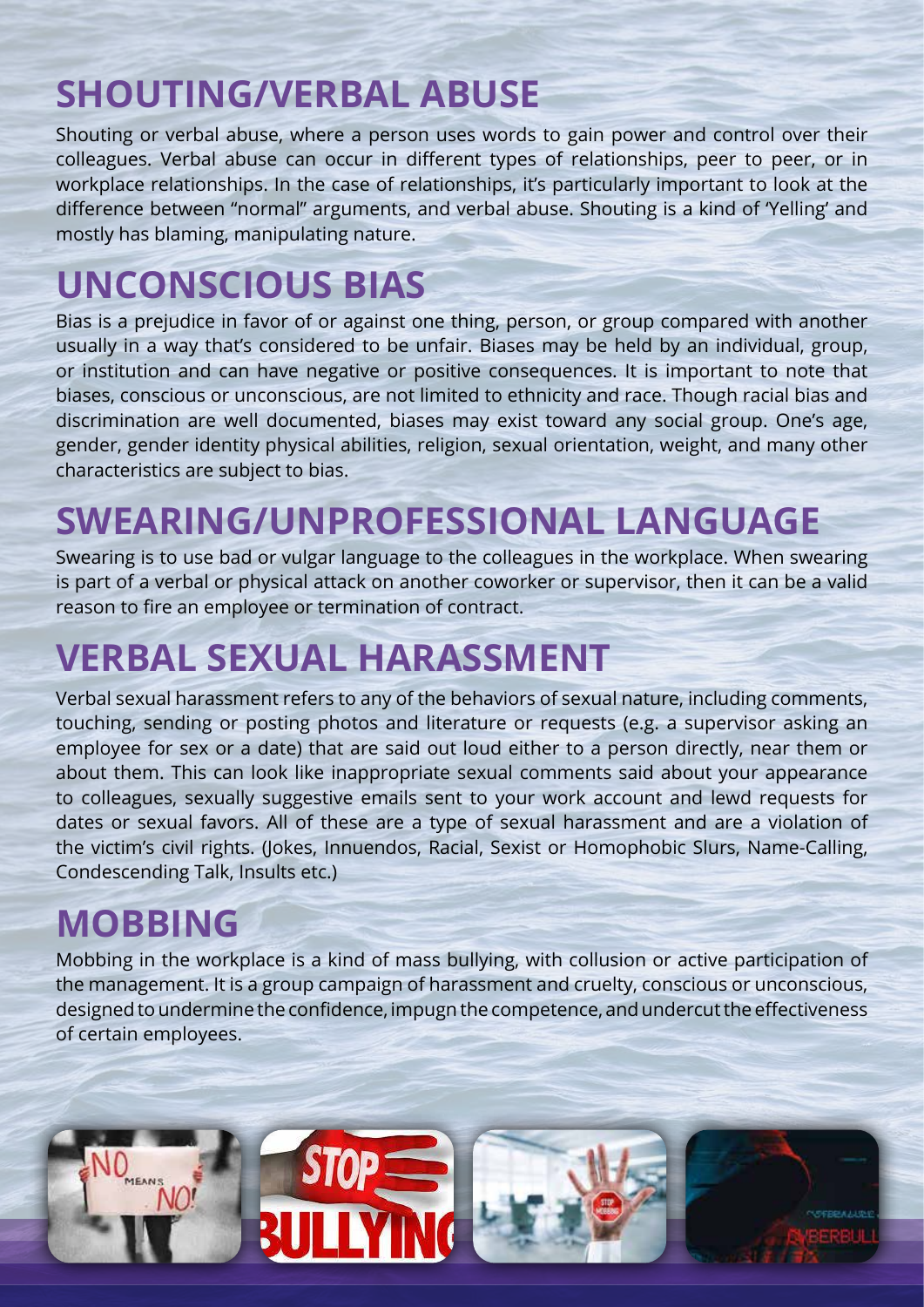## **SHOUTING/VERBAL ABUSE**

Shouting or verbal abuse, where a person uses words to gain power and control over their colleagues. Verbal abuse can occur in different types of relationships, peer to peer, or in workplace relationships. In the case of relationships, it's particularly important to look at the difference between "normal" arguments, and verbal abuse. Shouting is a kind of 'Yelling' and mostly has blaming, manipulating nature.

# **UNCONSCIOUS BIAS**

Bias is a prejudice in favor of or against one thing, person, or group compared with another usually in a way that's considered to be unfair. Biases may be held by an individual, group, or institution and can have negative or positive consequences. It is important to note that biases, conscious or unconscious, are not limited to ethnicity and race. Though racial bias and discrimination are well documented, biases may exist toward any social group. One's age, gender, gender identity physical abilities, religion, sexual orientation, weight, and many other characteristics are subject to bias.

# **SWEARING/UNPROFESSIONAL LANGUAGE**

Swearing is to use bad or vulgar language to the colleagues in the workplace. When swearing is part of a verbal or physical attack on another coworker or supervisor, then it can be a valid reason to fire an employee or termination of contract.

## **VERBAL SEXUAL HARASSMENT**

Verbal sexual harassment refers to any of the behaviors of sexual nature, including comments, touching, sending or posting photos and literature or requests (e.g. a supervisor asking an employee for sex or a date) that are said out loud either to a person directly, near them or about them. This can look like inappropriate sexual comments said about your appearance to colleagues, sexually suggestive emails sent to your work account and lewd requests for dates or sexual favors. All of these are a type of sexual harassment and are a violation of the victim's civil rights. (Jokes, Innuendos, Racial, Sexist or Homophobic Slurs, Name-Calling, Condescending Talk, Insults etc.)

#### **MOBBING**

Mobbing in the workplace is a kind of mass bullying, with collusion or active participation of the management. It is a group campaign of harassment and cruelty, conscious or unconscious, designed to undermine the confidence, impugn the competence, and undercut the effectiveness of certain employees.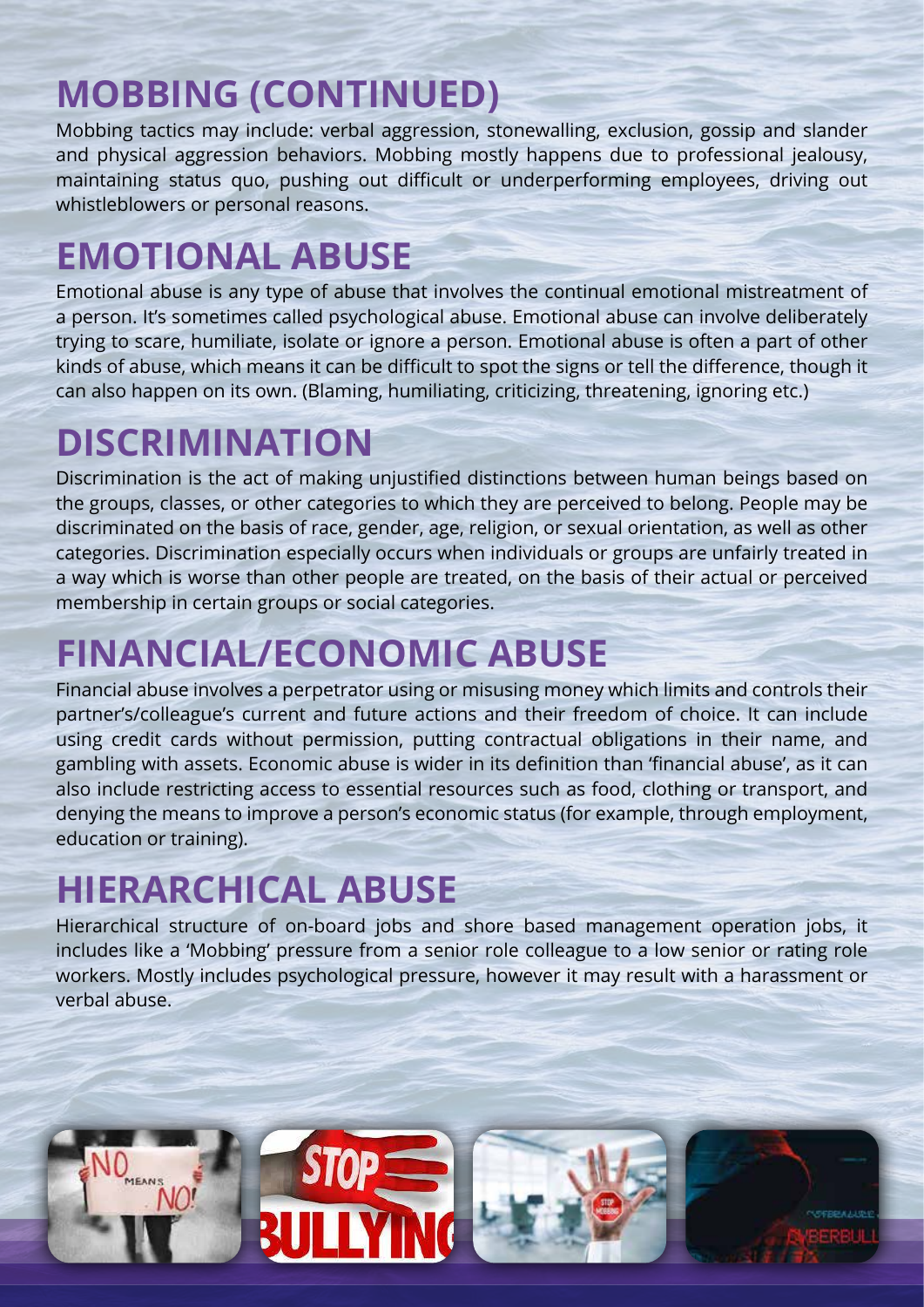## **MOBBING (CONTINUED)**

Mobbing tactics may include: verbal aggression, stonewalling, exclusion, gossip and slander and physical aggression behaviors. Mobbing mostly happens due to professional jealousy, maintaining status quo, pushing out difficult or underperforming employees, driving out whistleblowers or personal reasons.

## **EMOTIONAL ABUSE**

Emotional abuse is any type of abuse that involves the continual emotional mistreatment of a person. It's sometimes called psychological abuse. Emotional abuse can involve deliberately trying to scare, humiliate, isolate or ignore a person. Emotional abuse is often a part of other kinds of abuse, which means it can be difficult to spot the signs or tell the difference, though it can also happen on its own. (Blaming, humiliating, criticizing, threatening, ignoring etc.)

## **DISCRIMINATION**

Discrimination is the act of making unjustified distinctions between human beings based on the groups, classes, or other categories to which they are perceived to belong. People may be discriminated on the basis of race, gender, age, religion, or sexual orientation, as well as other categories. Discrimination especially occurs when individuals or groups are unfairly treated in a way which is worse than other people are treated, on the basis of their actual or perceived membership in certain groups or social categories.

# **FINANCIAL/ECONOMIC ABUSE**

Financial abuse involves a perpetrator using or misusing money which limits and controls their partner's/colleague's current and future actions and their freedom of choice. It can include using credit cards without permission, putting contractual obligations in their name, and gambling with assets. Economic abuse is wider in its definition than 'financial abuse', as it can also include restricting access to essential resources such as food, clothing or transport, and denying the means to improve a person's economic status (for example, through employment, education or training).

## **HIERARCHICAL ABUSE**

MEANS

Hierarchical structure of on-board jobs and shore based management operation jobs, it includes like a 'Mobbing' pressure from a senior role colleague to a low senior or rating role workers. Mostly includes psychological pressure, however it may result with a harassment or verbal abuse.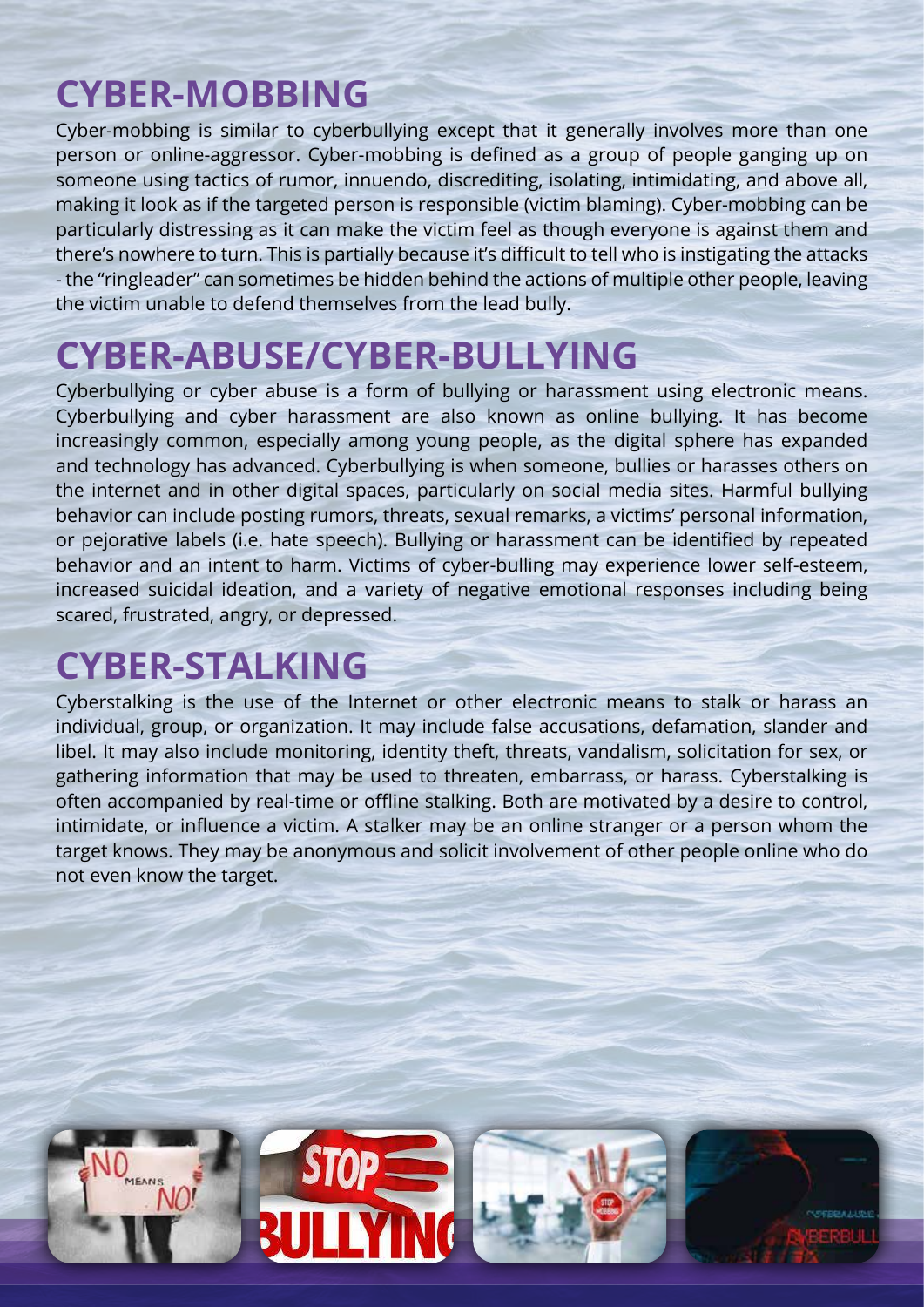#### **CYBER-MOBBING**

Cyber-mobbing is similar to cyberbullying except that it generally involves more than one person or online-aggressor. Cyber-mobbing is defined as a group of people ganging up on someone using tactics of rumor, innuendo, discrediting, isolating, intimidating, and above all, making it look as if the targeted person is responsible (victim blaming). Cyber-mobbing can be particularly distressing as it can make the victim feel as though everyone is against them and there's nowhere to turn. This is partially because it's difficult to tell who is instigating the attacks - the "ringleader" can sometimes be hidden behind the actions of multiple other people, leaving the victim unable to defend themselves from the lead bully.

#### **CYBER-ABUSE/CYBER-BULLYING**

Cyberbullying or cyber abuse is a form of bullying or harassment using electronic means. Cyberbullying and cyber harassment are also known as online bullying. It has become increasingly common, especially among young people, as the digital sphere has expanded and technology has advanced. Cyberbullying is when someone, bullies or harasses others on the internet and in other digital spaces, particularly on social media sites. Harmful bullying behavior can include posting rumors, threats, sexual remarks, a victims' personal information, or pejorative labels (i.e. hate speech). Bullying or harassment can be identified by repeated behavior and an intent to harm. Victims of cyber-bulling may experience lower self-esteem, increased suicidal ideation, and a variety of negative emotional responses including being scared, frustrated, angry, or depressed.

#### **CYBER-STALKING**

Cyberstalking is the use of the Internet or other electronic means to stalk or harass an individual, group, or organization. It may include false accusations, defamation, slander and libel. It may also include monitoring, identity theft, threats, vandalism, solicitation for sex, or gathering information that may be used to threaten, embarrass, or harass. Cyberstalking is often accompanied by real-time or offline stalking. Both are motivated by a desire to control, intimidate, or influence a victim. A stalker may be an online stranger or a person whom the target knows. They may be anonymous and solicit involvement of other people online who do not even know the target.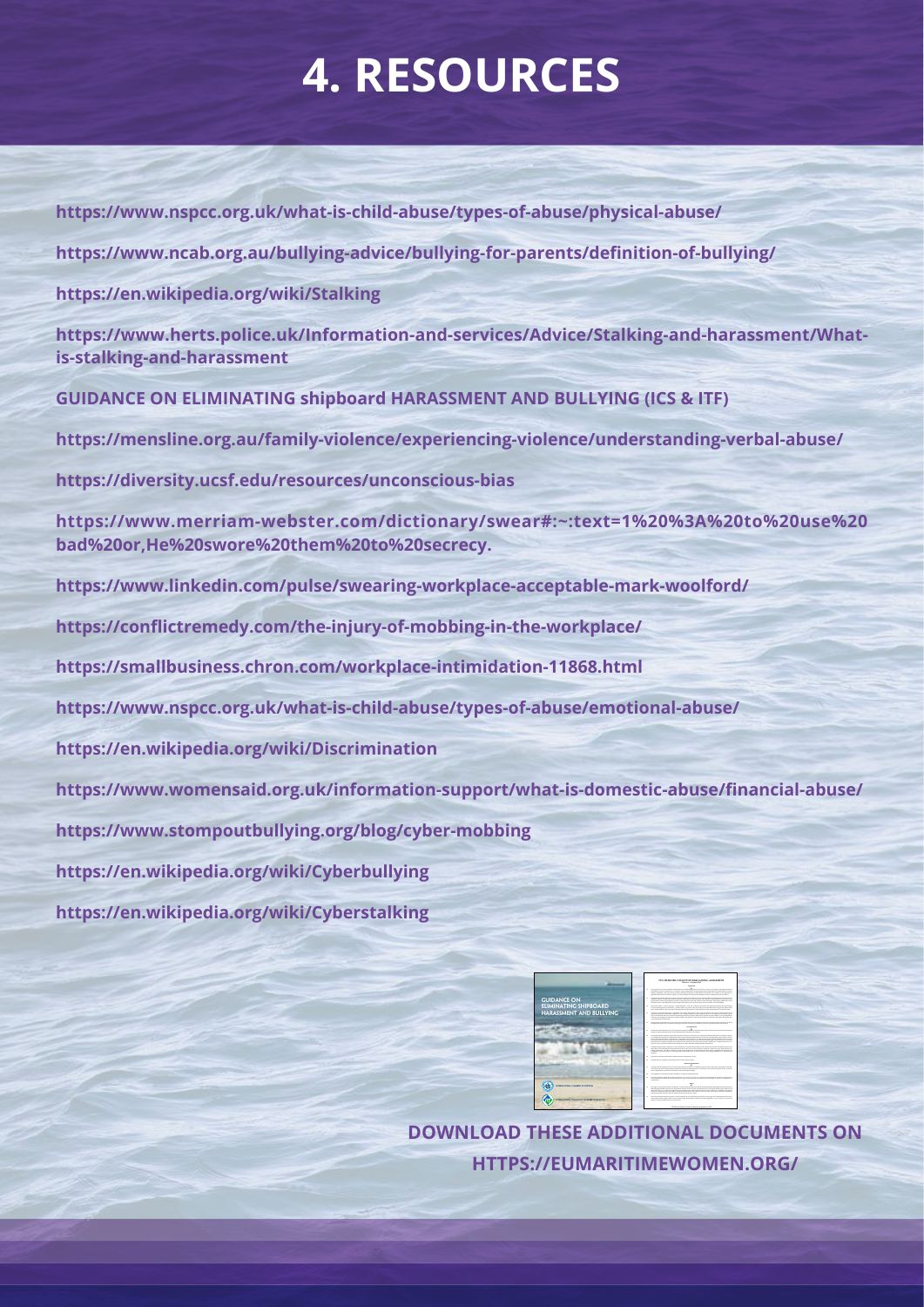# **4. RESOURCES**

**https://www.nspcc.org.uk/what-is-child-abuse/types-of-abuse/physical-abuse/ https://www.ncab.org.au/bullying-advice/bullying-for-parents/definition-of-bullying/ https://en.wikipedia.org/wiki/Stalking https://www.herts.police.uk/Information-and-services/Advice/Stalking-and-harassment/Whatis-stalking-and-harassment GUIDANCE ON ELIMINATING shipboard HARASSMENT AND BULLYING (ICS & ITF) https://mensline.org.au/family-violence/experiencing-violence/understanding-verbal-abuse/ https://diversity.ucsf.edu/resources/unconscious-bias https://www.merriam-webster.com/dictionary/swear#:~:text=1%20%3A%20to%20use%20 bad%20or,He%20swore%20them%20to%20secrecy. https://www.linkedin.com/pulse/swearing-workplace-acceptable-mark-woolford/ https://conflictremedy.com/the-injury-of-mobbing-in-the-workplace/ https://smallbusiness.chron.com/workplace-intimidation-11868.html https://www.nspcc.org.uk/what-is-child-abuse/types-of-abuse/emotional-abuse/ https://en.wikipedia.org/wiki/Discrimination https://www.womensaid.org.uk/information-support/what-is-domestic-abuse/financial-abuse/ https://www.stompoutbullying.org/blog/cyber-mobbing https://en.wikipedia.org/wiki/Cyberbullying https://en.wikipedia.org/wiki/Cyberstalking** 1.1 This agreement sets out the minimum standard terms and conditions applicable to all Seafarers serving in any offshore vessel/Mobile Offshore 1.2 The Special Agreement requires the Company (inter alia) to employ the Seafarers on the terms and conditions of this Agreement, and to enter into 1.3 The words "Seafarer", "Vessel" and "Unit", "Special Agreement", "ITF" and "Company" when used in this Agreement shall bear the same meaning



**DOWNLOAD THESE ADDITIONAL DOCUMENTS ON HTTPS://EUMARITIMEWOMEN.ORG/**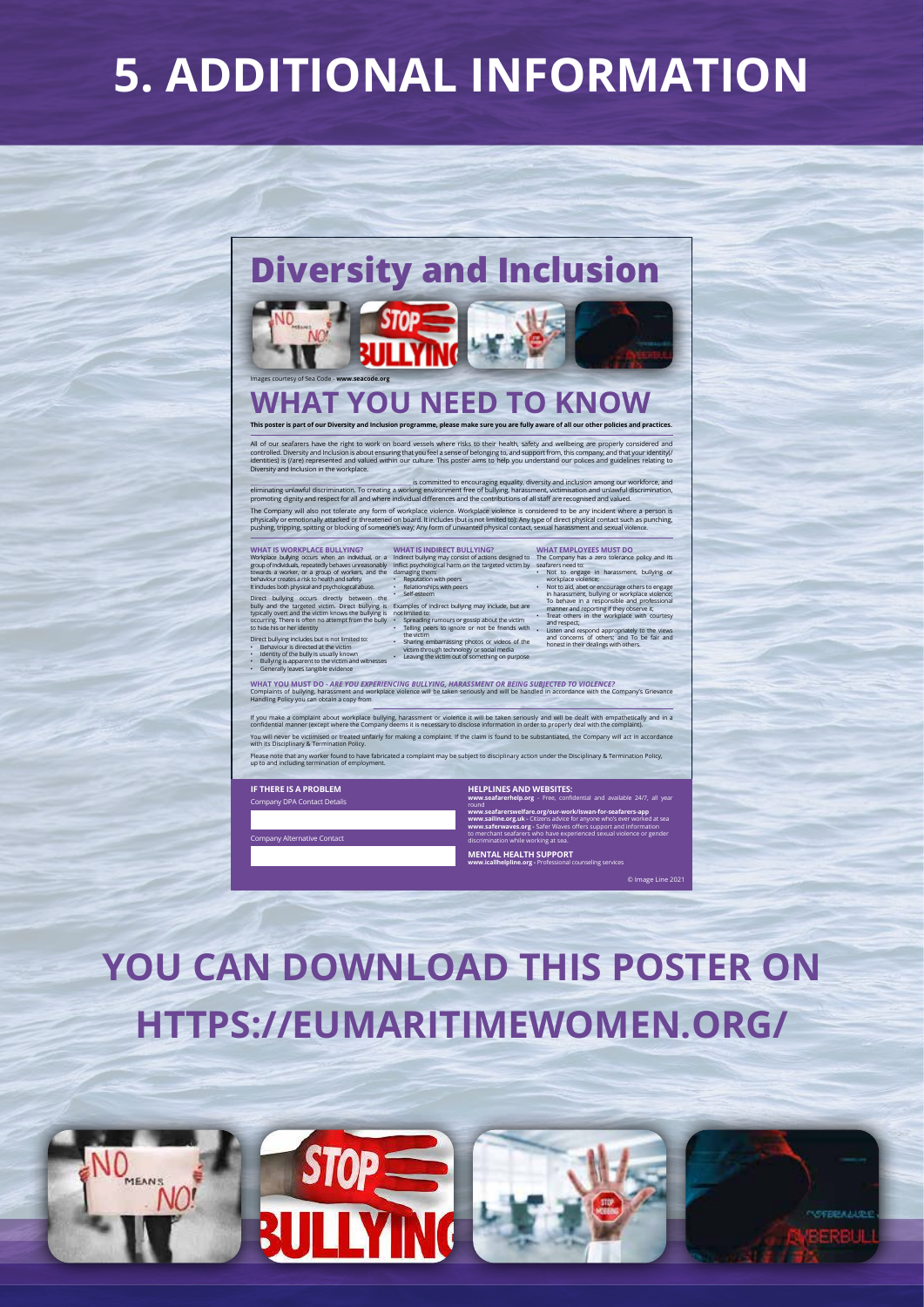# **5. ADDITIONAL INFORMATION**